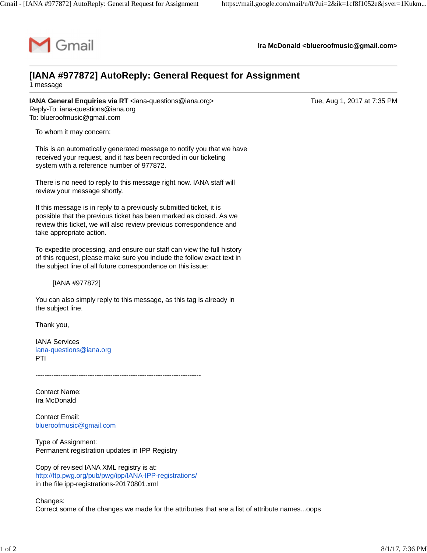

**Ira McDonald [<blueroofmusic@gmail.com](mailto:blueroofmusic@gmail.com)>**

## **[IANA #977872] AutoReply: General Request for Assignment**

1 message

**IANA General Enquiries via RT** [<iana-questions@iana.org>](mailto:iana-questions@iana.org) Tue, Aug 1, 2017 at 7:35 PM Reply-To: [iana-questions@iana.org](mailto:iana-questions@iana.org) To: [blueroofmusic@gmail.com](mailto:blueroofmusic@gmail.com)

To whom it may concern:

This is an automatically generated message to notify you that we have received your request, and it has been recorded in our ticketing system with a reference number of 977872.

There is no need to reply to this message right now. IANA staff will review your message shortly.

If this message is in reply to a previously submitted ticket, it is possible that the previous ticket has been marked as closed. As we review this ticket, we will also review previous correspondence and take appropriate action.

To expedite processing, and ensure our staff can view the full history of this request, please make sure you include the follow exact text in the subject line of all future correspondence on this issue:

[IANA #977872]

You can also simply reply to this message, as this tag is already in the subject line.

Thank you,

IANA Services [iana-questions@iana.org](mailto:iana-questions@iana.org) PTI

-------------------------------------------------------------------------

Contact Name: Ira McDonald

Contact Email: [blueroofmusic@gmail.com](mailto:blueroofmusic@gmail.com)

Type of Assignment: Permanent registration updates in IPP Registry

Copy of revised IANA XML registry is at: <http://ftp.pwg.org/pub/pwg/ipp/IANA-IPP-registrations/> in the file ipp-registrations-20170801.xml

Changes: Correct some of the changes we made for the attributes that are a list of attribute names...oops